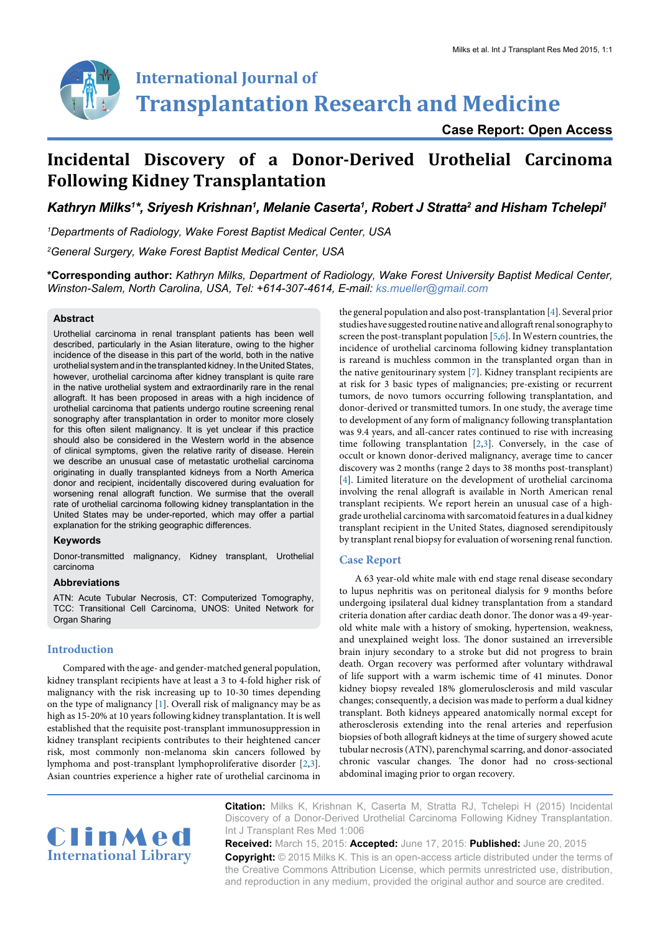

# **International Journal of Transplantation Research and Medicine**

**Case Report: Open Access**

## **Incidental Discovery of a Donor-Derived Urothelial Carcinoma Following Kidney Transplantation**

Kathryn Milks<sup>1</sup>\*, Sriyesh Krishnan<sup>1</sup>, Melanie Caserta<sup>1</sup>, Robert J Stratta<sup>2</sup> and Hisham Tchelepi<sup>1</sup>

*1 Departments of Radiology, Wake Forest Baptist Medical Center, USA*

*2 General Surgery, Wake Forest Baptist Medical Center, USA*

**\*Corresponding author:** *Kathryn Milks, Department of Radiology, Wake Forest University Baptist Medical Center, Winston-Salem, North Carolina, USA, Tel: +614-307-4614, E-mail: ks.mueller@gmail.com*

#### **Abstract**

Urothelial carcinoma in renal transplant patients has been well described, particularly in the Asian literature, owing to the higher incidence of the disease in this part of the world, both in the native urothelial system and in the transplanted kidney. In the United States, however, urothelial carcinoma after kidney transplant is quite rare in the native urothelial system and extraordinarily rare in the renal allograft. It has been proposed in areas with a high incidence of urothelial carcinoma that patients undergo routine screening renal sonography after transplantation in order to monitor more closely for this often silent malignancy. It is yet unclear if this practice should also be considered in the Western world in the absence of clinical symptoms, given the relative rarity of disease. Herein we describe an unusual case of metastatic urothelial carcinoma originating in dually transplanted kidneys from a North America donor and recipient, incidentally discovered during evaluation for worsening renal allograft function. We surmise that the overall rate of urothelial carcinoma following kidney transplantation in the United States may be under-reported, which may offer a partial explanation for the striking geographic differences.

#### **Keywords**

Donor-transmitted malignancy, Kidney transplant, Urothelial carcinoma

#### **Abbreviations**

ATN: Acute Tubular Necrosis, CT: Computerized Tomography, TCC: Transitional Cell Carcinoma, UNOS: United Network for Organ Sharing

#### **Introduction**

Compared with the age- and gender-matched general population, kidney transplant recipients have at least a 3 to 4-fold higher risk of malignancy with the risk increasing up to 10-30 times depending on the type of malignancy [[1](#page-3-0)]. Overall risk of malignancy may be as high as 15-20% at 10 years following kidney transplantation. It is well established that the requisite post-transplant immunosuppression in kidney transplant recipients contributes to their heightened cancer risk, most commonly non-melanoma skin cancers followed by lymphoma and post-transplant lymphoproliferative disorder [\[2,](#page-3-1)[3\]](#page-3-2). Asian countries experience a higher rate of urothelial carcinoma in

the general population and also post-transplantation [[4\]](#page-3-3). Several prior studies have suggested routine native and allograft renal sonography to screen the post-transplant population [[5](#page-3-4)[,6\]](#page-3-5). In Western countries, the incidence of urothelial carcinoma following kidney transplantation is rareand is muchless common in the transplanted organ than in the native genitourinary system [\[7\]](#page-3-6). Kidney transplant recipients are at risk for 3 basic types of malignancies; pre-existing or recurrent tumors, de novo tumors occurring following transplantation, and donor-derived or transmitted tumors. In one study, the average time to development of any form of malignancy following transplantation was 9.4 years, and all-cancer rates continued to rise with increasing time following transplantation [[2,](#page-3-1)[3](#page-3-2)]. Conversely, in the case of occult or known donor-derived malignancy, average time to cancer discovery was 2 months (range 2 days to 38 months post-transplant) [\[4\]](#page-3-3). Limited literature on the development of urothelial carcinoma involving the renal allograft is available in North American renal transplant recipients. We report herein an unusual case of a highgrade urothelial carcinoma with sarcomatoid features in a dual kidney transplant recipient in the United States, diagnosed serendipitously by transplant renal biopsy for evaluation of worsening renal function.

#### **Case Report**

A 63 year-old white male with end stage renal disease secondary to lupus nephritis was on peritoneal dialysis for 9 months before undergoing ipsilateral dual kidney transplantation from a standard criteria donation after cardiac death donor. The donor was a 49-yearold white male with a history of smoking, hypertension, weakness, and unexplained weight loss. The donor sustained an irreversible brain injury secondary to a stroke but did not progress to brain death. Organ recovery was performed after voluntary withdrawal of life support with a warm ischemic time of 41 minutes. Donor kidney biopsy revealed 18% glomerulosclerosis and mild vascular changes; consequently, a decision was made to perform a dual kidney transplant. Both kidneys appeared anatomically normal except for atherosclerosis extending into the renal arteries and reperfusion biopsies of both allograft kidneys at the time of surgery showed acute tubular necrosis (ATN), parenchymal scarring, and donor-associated chronic vascular changes. The donor had no cross-sectional abdominal imaging prior to organ recovery.



**Citation:** Milks K, Krishnan K, Caserta M, Stratta RJ, Tchelepi H (2015) Incidental Discovery of a Donor-Derived Urothelial Carcinoma Following Kidney Transplantation. Int J Transplant Res Med 1:006

**Received:** March 15, 2015: **Accepted:** June 17, 2015: **Published:** June 20, 2015 **Copyright:** © 2015 Milks K. This is an open-access article distributed under the terms of the Creative Commons Attribution License, which permits unrestricted use, distribution, and reproduction in any medium, provided the original author and source are credited.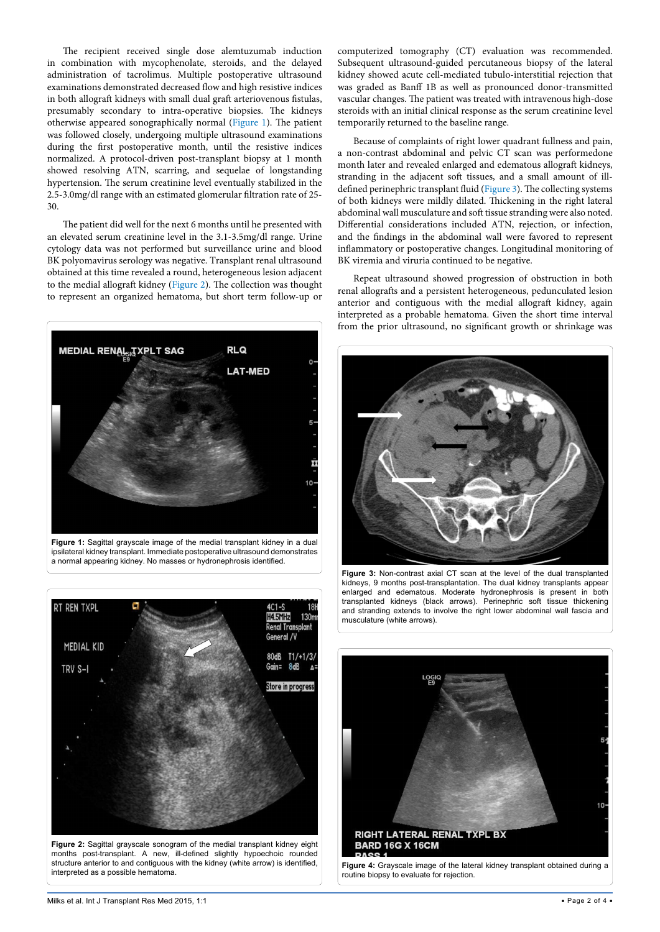The recipient received single dose alemtuzumab induction in combination with mycophenolate, steroids, and the delayed administration of tacrolimus. Multiple postoperative ultrasound examinations demonstrated decreased flow and high resistive indices in both allograft kidneys with small dual graft arteriovenous fistulas, presumably secondary to intra-operative biopsies. The kidneys otherwise appeared sonographically normal ([Figure 1](#page-1-0)). The patient was followed closely, undergoing multiple ultrasound examinations during the first postoperative month, until the resistive indices normalized. A protocol-driven post-transplant biopsy at 1 month showed resolving ATN, scarring, and sequelae of longstanding hypertension. The serum creatinine level eventually stabilized in the 2.5-3.0mg/dl range with an estimated glomerular filtration rate of 25- 30.

The patient did well for the next 6 months until he presented with an elevated serum creatinine level in the 3.1-3.5mg/dl range. Urine cytology data was not performed but surveillance urine and blood BK polyomavirus serology was negative. Transplant renal ultrasound obtained at this time revealed a round, heterogeneous lesion adjacent to the medial allograft kidney [\(Figure 2](#page-1-1)). The collection was thought to represent an organized hematoma, but short term follow-up or

<span id="page-1-0"></span>

**Figure 1:** Sagittal grayscale image of the medial transplant kidney in a dual ipsilateral kidney transplant. Immediate postoperative ultrasound demonstrates a normal appearing kidney. No masses or hydronephrosis identified.

<span id="page-1-1"></span>

months post-transplant. A new, ill-defined slightly hypoechoic rounded structure anterior to and contiguous with the kidney (white arrow) is identified, interpreted as a possible hematoma.

computerized tomography (CT) evaluation was recommended. Subsequent ultrasound-guided percutaneous biopsy of the lateral kidney showed acute cell-mediated tubulo-interstitial rejection that was graded as Banff 1B as well as pronounced donor-transmitted vascular changes. The patient was treated with intravenous high-dose steroids with an initial clinical response as the serum creatinine level temporarily returned to the baseline range.

Because of complaints of right lower quadrant fullness and pain, a non-contrast abdominal and pelvic CT scan was performedone month later and revealed enlarged and edematous allograft kidneys, stranding in the adjacent soft tissues, and a small amount of illdefined perinephric transplant fluid [\(Figure 3](#page-1-2)). The collecting systems of both kidneys were mildly dilated. Thickening in the right lateral abdominal wall musculature and soft tissue stranding were also noted. Differential considerations included ATN, rejection, or infection, and the findings in the abdominal wall were favored to represent inflammatory or postoperative changes. Longitudinal monitoring of BK viremia and viruria continued to be negative.

Repeat ultrasound showed progression of obstruction in both renal allografts and a persistent heterogeneous, pedunculated lesion anterior and contiguous with the medial allograft kidney, again interpreted as a probable hematoma. Given the short time interval from the prior ultrasound, no significant growth or shrinkage was

<span id="page-1-2"></span>

**Figure 3:** Non-contrast axial CT scan at the level of the dual transplanted kidneys, 9 months post-transplantation. The dual kidney transplants appear enlarged and edematous. Moderate hydronephrosis is present in both transplanted kidneys (black arrows). Perinephric soft tissue thickening and stranding extends to involve the right lower abdominal wall fascia and musculature (white arrows).

<span id="page-1-3"></span>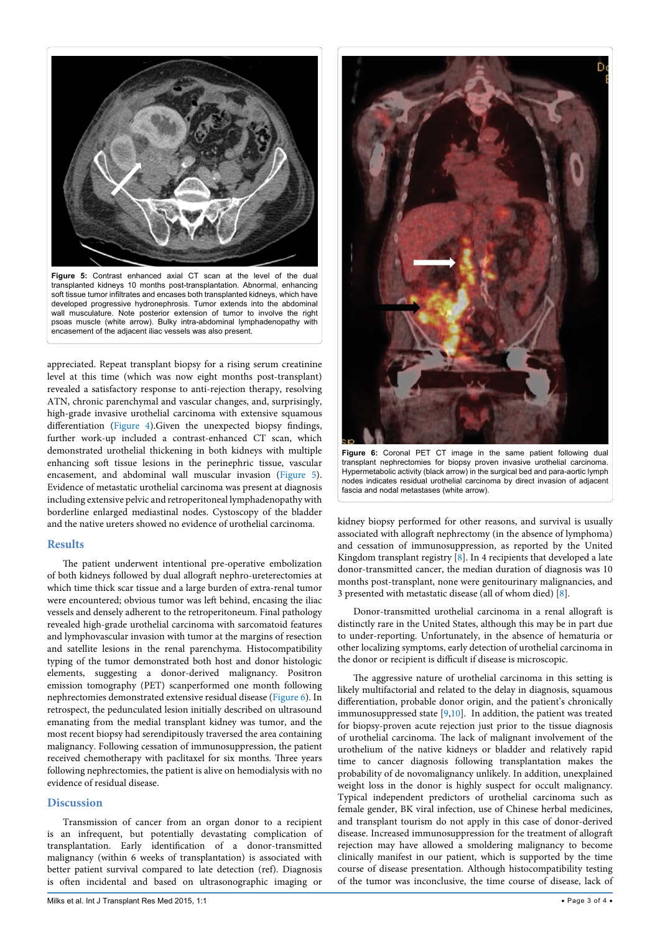<span id="page-2-0"></span>

soft tissue tumor infiltrates and encases both transplanted kidneys, which have developed progressive hydronephrosis. Tumor extends into the abdominal wall musculature. Note posterior extension of tumor to involve the right psoas muscle (white arrow). Bulky intra-abdominal lymphadenopathy with encasement of the adjacent iliac vessels was also present.

appreciated. Repeat transplant biopsy for a rising serum creatinine level at this time (which was now eight months post-transplant) revealed a satisfactory response to anti-rejection therapy, resolving ATN, chronic parenchymal and vascular changes, and, surprisingly, high-grade invasive urothelial carcinoma with extensive squamous differentiation ([Figure 4](#page-1-3)).Given the unexpected biopsy findings, further work-up included a contrast-enhanced CT scan, which demonstrated urothelial thickening in both kidneys with multiple enhancing soft tissue lesions in the perinephric tissue, vascular encasement, and abdominal wall muscular invasion ([Figure 5](#page-2-0)). Evidence of metastatic urothelial carcinoma was present at diagnosis including extensive pelvic and retroperitoneal lymphadenopathy with borderline enlarged mediastinal nodes. Cystoscopy of the bladder and the native ureters showed no evidence of urothelial carcinoma.

#### **Results**

The patient underwent intentional pre-operative embolization of both kidneys followed by dual allograft nephro-ureterectomies at which time thick scar tissue and a large burden of extra-renal tumor were encountered; obvious tumor was left behind, encasing the iliac vessels and densely adherent to the retroperitoneum. Final pathology revealed high-grade urothelial carcinoma with sarcomatoid features and lymphovascular invasion with tumor at the margins of resection and satellite lesions in the renal parenchyma. Histocompatibility typing of the tumor demonstrated both host and donor histologic elements, suggesting a donor-derived malignancy. Positron emission tomography (PET) scanperformed one month following nephrectomies demonstrated extensive residual disease ([Figure 6\)](#page-2-1). In retrospect, the pedunculated lesion initially described on ultrasound emanating from the medial transplant kidney was tumor, and the most recent biopsy had serendipitously traversed the area containing malignancy. Following cessation of immunosuppression, the patient received chemotherapy with paclitaxel for six months. Three years following nephrectomies, the patient is alive on hemodialysis with no evidence of residual disease.

#### **Discussion**

Transmission of cancer from an organ donor to a recipient is an infrequent, but potentially devastating complication of transplantation. Early identification of a donor-transmitted malignancy (within 6 weeks of transplantation) is associated with better patient survival compared to late detection (ref). Diagnosis is often incidental and based on ultrasonographic imaging or

<span id="page-2-1"></span>

**Figure 6:** Coronal PET CT image in the same patient following dual transplant nephrectomies for biopsy proven invasive urothelial carcinoma. Hypermetabolic activity (black arrow) in the surgical bed and para-aortic lymph nodes indicates residual urothelial carcinoma by direct invasion of adjacent fascia and nodal metastases (white arrow).

kidney biopsy performed for other reasons, and survival is usually associated with allograft nephrectomy (in the absence of lymphoma) and cessation of immunosuppression, as reported by the United Kingdom transplant registry  $[8]$  $[8]$  $[8]$ . In 4 recipients that developed a late donor-transmitted cancer, the median duration of diagnosis was 10 months post-transplant, none were genitourinary malignancies, and 3 presented with metastatic disease (all of whom died) [[8](#page-3-7)].

Donor-transmitted urothelial carcinoma in a renal allograft is distinctly rare in the United States, although this may be in part due to under-reporting. Unfortunately, in the absence of hematuria or other localizing symptoms, early detection of urothelial carcinoma in the donor or recipient is difficult if disease is microscopic.

The aggressive nature of urothelial carcinoma in this setting is likely multifactorial and related to the delay in diagnosis, squamous differentiation, probable donor origin, and the patient's chronically immunosuppressed state [\[9,](#page-3-8)[10](#page-3-9)]. In addition, the patient was treated for biopsy-proven acute rejection just prior to the tissue diagnosis of urothelial carcinoma. The lack of malignant involvement of the urothelium of the native kidneys or bladder and relatively rapid time to cancer diagnosis following transplantation makes the probability of de novomalignancy unlikely. In addition, unexplained weight loss in the donor is highly suspect for occult malignancy. Typical independent predictors of urothelial carcinoma such as female gender, BK viral infection, use of Chinese herbal medicines, and transplant tourism do not apply in this case of donor-derived disease. Increased immunosuppression for the treatment of allograft rejection may have allowed a smoldering malignancy to become clinically manifest in our patient, which is supported by the time course of disease presentation. Although histocompatibility testing of the tumor was inconclusive, the time course of disease, lack of